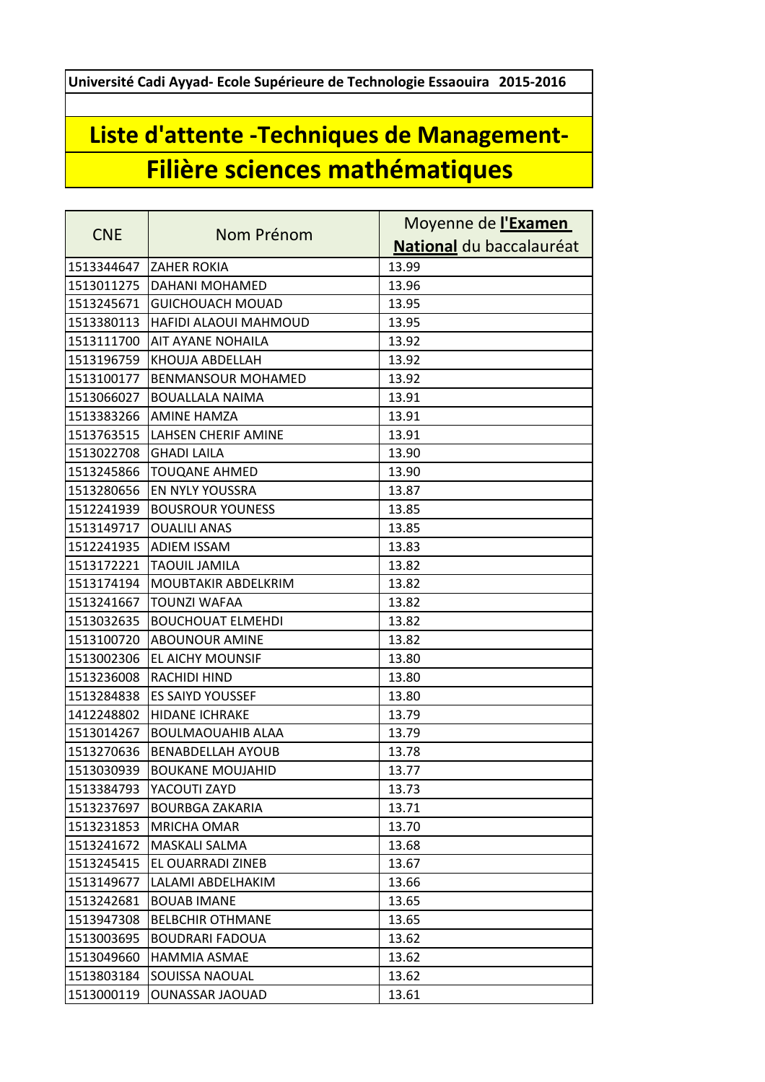**Université Cadi Ayyad- Ecole Supérieure de Technologie Essaouira 2015-2016**

## **Liste d'attente -Techniques de Management-Filière sciences mathématiques**

| <b>CNE</b> | Nom Prénom                   | Moyenne de l'Examen      |
|------------|------------------------------|--------------------------|
|            |                              | National du baccalauréat |
| 1513344647 | <b>ZAHER ROKIA</b>           | 13.99                    |
| 1513011275 | DAHANI MOHAMED               | 13.96                    |
| 1513245671 | <b>GUICHOUACH MOUAD</b>      | 13.95                    |
| 1513380113 | <b>HAFIDI ALAOUI MAHMOUD</b> | 13.95                    |
| 1513111700 | <b>AIT AYANE NOHAILA</b>     | 13.92                    |
| 1513196759 | <b>KHOUJA ABDELLAH</b>       | 13.92                    |
| 1513100177 | <b>BENMANSOUR MOHAMED</b>    | 13.92                    |
| 1513066027 | <b>BOUALLALA NAIMA</b>       | 13.91                    |
| 1513383266 | <b>AMINE HAMZA</b>           | 13.91                    |
| 1513763515 | <b>LAHSEN CHERIF AMINE</b>   | 13.91                    |
| 1513022708 | <b>GHADI LAILA</b>           | 13.90                    |
| 1513245866 | <b>TOUQANE AHMED</b>         | 13.90                    |
| 1513280656 | <b>EN NYLY YOUSSRA</b>       | 13.87                    |
| 1512241939 | <b>BOUSROUR YOUNESS</b>      | 13.85                    |
| 1513149717 | <b>OUALILI ANAS</b>          | 13.85                    |
| 1512241935 | <b>ADIEM ISSAM</b>           | 13.83                    |
| 1513172221 | <b>TAOUIL JAMILA</b>         | 13.82                    |
| 1513174194 | MOUBTAKIR ABDELKRIM          | 13.82                    |
| 1513241667 | <b>TOUNZI WAFAA</b>          | 13.82                    |
| 1513032635 | <b>BOUCHOUAT ELMEHDI</b>     | 13.82                    |
| 1513100720 | <b>ABOUNOUR AMINE</b>        | 13.82                    |
| 1513002306 | <b>EL AICHY MOUNSIF</b>      | 13.80                    |
| 1513236008 | <b>RACHIDI HIND</b>          | 13.80                    |
| 1513284838 | <b>ES SAIYD YOUSSEF</b>      | 13.80                    |
| 1412248802 | <b>HIDANE ICHRAKE</b>        | 13.79                    |
| 1513014267 | <b>BOULMAOUAHIB ALAA</b>     | 13.79                    |
| 1513270636 | <b>BENABDELLAH AYOUB</b>     | 13.78                    |
| 1513030939 | <b>BOUKANE MOUJAHID</b>      | 13.77                    |
| 1513384793 | YACOUTI ZAYD                 | 13.73                    |
| 1513237697 | <b>BOURBGA ZAKARIA</b>       | 13.71                    |
| 1513231853 | <b>MRICHA OMAR</b>           | 13.70                    |
| 1513241672 | MASKALI SALMA                | 13.68                    |
| 1513245415 | <b>EL OUARRADI ZINEB</b>     | 13.67                    |
| 1513149677 | LALAMI ABDELHAKIM            | 13.66                    |
| 1513242681 | <b>BOUAB IMANE</b>           | 13.65                    |
| 1513947308 | <b>BELBCHIR OTHMANE</b>      | 13.65                    |
| 1513003695 | <b>BOUDRARI FADOUA</b>       | 13.62                    |
| 1513049660 | <b>HAMMIA ASMAE</b>          | 13.62                    |
| 1513803184 | SOUISSA NAOUAL               | 13.62                    |
| 1513000119 | <b>OUNASSAR JAOUAD</b>       | 13.61                    |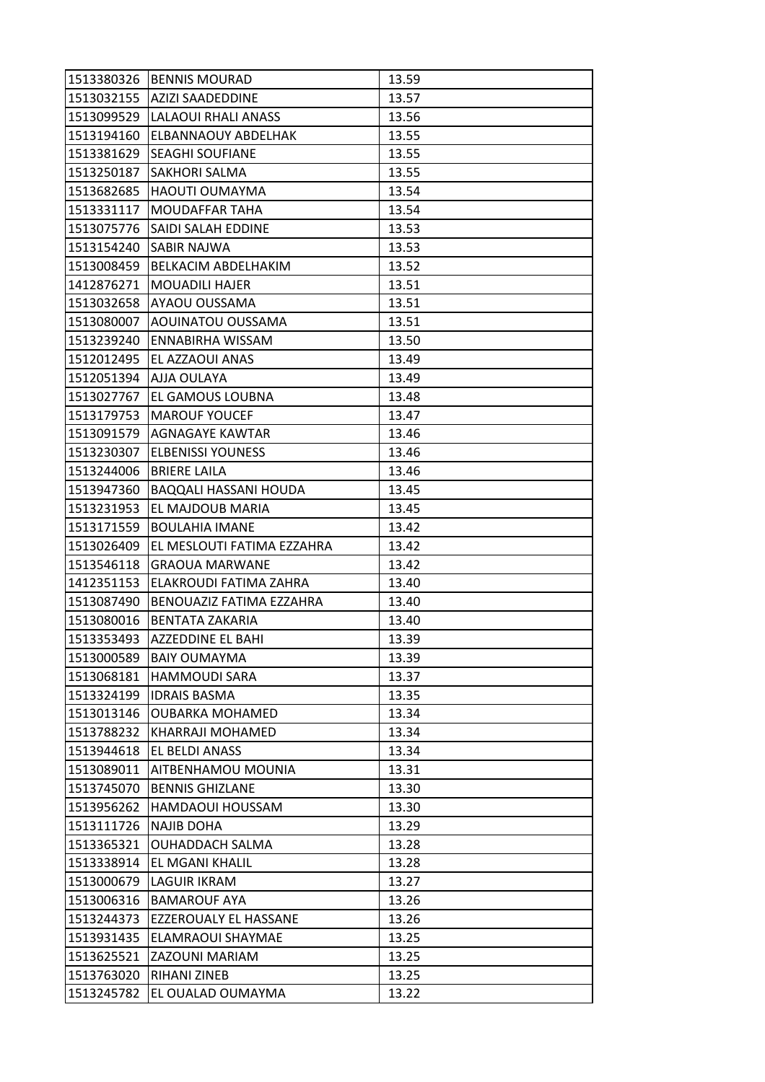| 1513380326 | <b>BENNIS MOURAD</b>               | 13.59 |
|------------|------------------------------------|-------|
|            | 1513032155   AZIZI SAADEDDINE      | 13.57 |
| 1513099529 | LALAOUI RHALI ANASS                | 13.56 |
| 1513194160 | <b>ELBANNAOUY ABDELHAK</b>         | 13.55 |
| 1513381629 | <b>SEAGHI SOUFIANE</b>             | 13.55 |
| 1513250187 | <b>SAKHORI SALMA</b>               | 13.55 |
| 1513682685 | <b>HAOUTI OUMAYMA</b>              | 13.54 |
| 1513331117 | IMOUDAFFAR TAHA                    | 13.54 |
| 1513075776 | <b>SAIDI SALAH EDDINE</b>          | 13.53 |
| 1513154240 | <b>SABIR NAJWA</b>                 | 13.53 |
| 1513008459 | BELKACIM ABDELHAKIM                | 13.52 |
| 1412876271 | <b>MOUADILI HAJER</b>              | 13.51 |
| 1513032658 | IAYAOU OUSSAMA                     | 13.51 |
| 1513080007 | AOUINATOU OUSSAMA                  | 13.51 |
| 1513239240 | <b>ENNABIRHA WISSAM</b>            | 13.50 |
| 1512012495 | <b>IEL AZZAOUI ANAS</b>            | 13.49 |
| 1512051394 | AJJA OULAYA                        | 13.49 |
| 1513027767 | <b>EL GAMOUS LOUBNA</b>            | 13.48 |
| 1513179753 | <b>MAROUF YOUCEF</b>               | 13.47 |
| 1513091579 | AGNAGAYE KAWTAR                    | 13.46 |
| 1513230307 | <b>ELBENISSI YOUNESS</b>           | 13.46 |
| 1513244006 | <b>BRIERE LAILA</b>                | 13.46 |
| 1513947360 | BAQQALI HASSANI HOUDA              | 13.45 |
| 1513231953 | IEL MAJDOUB MARIA                  | 13.45 |
| 1513171559 | <b>BOULAHIA IMANE</b>              | 13.42 |
| 1513026409 | <b>JEL MESLOUTI FATIMA EZZAHRA</b> | 13.42 |
| 1513546118 | <b>GRAOUA MARWANE</b>              | 13.42 |
| 1412351153 | ELAKROUDI FATIMA ZAHRA             | 13.40 |
| 1513087490 | IBENOUAZIZ FATIMA EZZAHRA          | 13.40 |
| 1513080016 | BENTATA ZAKARIA                    | 13.40 |
| 1513353493 | AZZEDDINE EL BAHI                  | 13.39 |
| 1513000589 | <b>BAIY OUMAYMA</b>                | 13.39 |
| 1513068181 | <b>HAMMOUDI SARA</b>               | 13.37 |
| 1513324199 | <b>IDRAIS BASMA</b>                | 13.35 |
| 1513013146 | OUBARKA MOHAMED                    | 13.34 |
| 1513788232 | KHARRAJI MOHAMED                   | 13.34 |
| 1513944618 | EL BELDI ANASS                     | 13.34 |
| 1513089011 | AITBENHAMOU MOUNIA                 | 13.31 |
| 1513745070 | <b>BENNIS GHIZLANE</b>             | 13.30 |
| 1513956262 | HAMDAOUI HOUSSAM                   | 13.30 |
| 1513111726 | <b>NAJIB DOHA</b>                  | 13.29 |
| 1513365321 | OUHADDACH SALMA                    | 13.28 |
| 1513338914 | <b>EL MGANI KHALIL</b>             | 13.28 |
| 1513000679 | LAGUIR IKRAM                       | 13.27 |
| 1513006316 | <b>BAMAROUF AYA</b>                | 13.26 |
| 1513244373 | EZZEROUALY EL HASSANE              | 13.26 |
| 1513931435 | ELAMRAOUI SHAYMAE                  | 13.25 |
| 1513625521 | <b>ZAZOUNI MARIAM</b>              | 13.25 |
| 1513763020 | RIHANI ZINEB                       | 13.25 |
| 1513245782 | EL OUALAD OUMAYMA                  | 13.22 |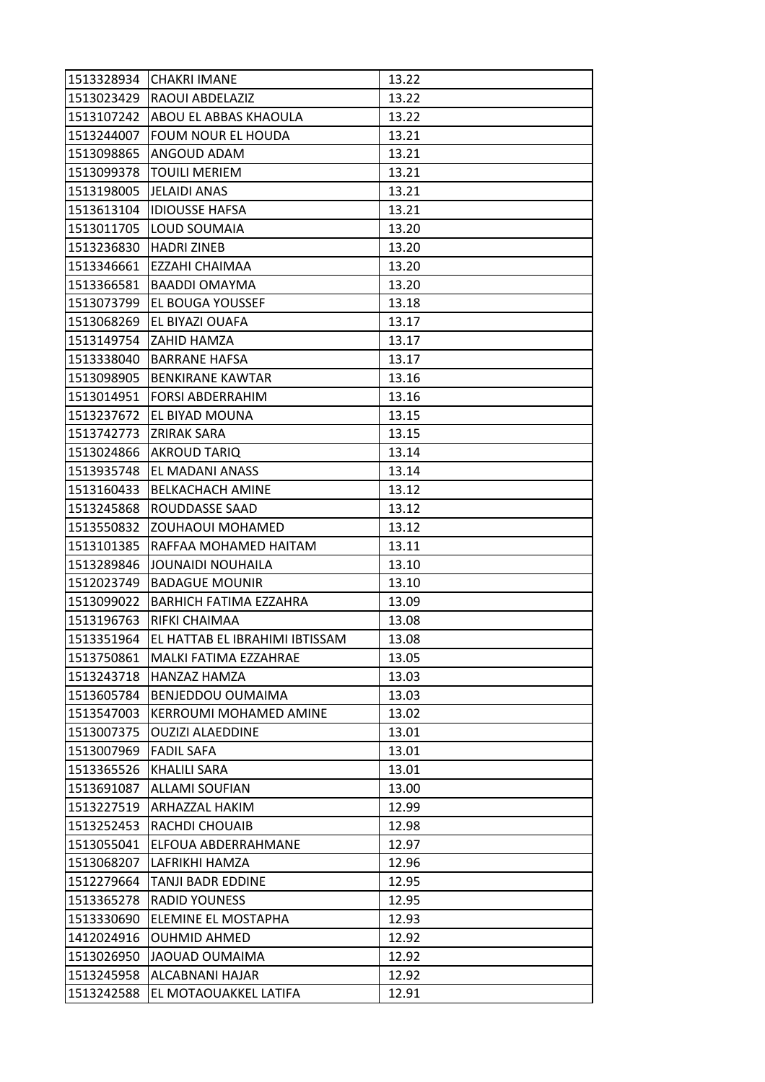|            | 1513328934 CHAKRI IMANE         | 13.22 |
|------------|---------------------------------|-------|
| 1513023429 | <b>RAOUI ABDELAZIZ</b>          | 13.22 |
| 1513107242 | ABOU EL ABBAS KHAOULA           | 13.22 |
| 1513244007 | <b>FOUM NOUR EL HOUDA</b>       | 13.21 |
| 1513098865 | <b>ANGOUD ADAM</b>              | 13.21 |
| 1513099378 | <b>TOUILI MERIEM</b>            | 13.21 |
| 1513198005 | JELAIDI ANAS                    | 13.21 |
| 1513613104 | <b>IDIOUSSE HAFSA</b>           | 13.21 |
| 1513011705 | <b>LOUD SOUMAIA</b>             | 13.20 |
| 1513236830 | <b>HADRI ZINEB</b>              | 13.20 |
| 1513346661 | EZZAHI CHAIMAA                  | 13.20 |
| 1513366581 | <b>BAADDI OMAYMA</b>            | 13.20 |
| 1513073799 | IEL BOUGA YOUSSEF               | 13.18 |
| 1513068269 | <b>EL BIYAZI OUAFA</b>          | 13.17 |
| 1513149754 | IZAHID HAMZA                    | 13.17 |
| 1513338040 | <b>BARRANE HAFSA</b>            | 13.17 |
| 1513098905 | <b>IBENKIRANE KAWTAR</b>        | 13.16 |
| 1513014951 | <b>FORSI ABDERRAHIM</b>         | 13.16 |
| 1513237672 | <b>EL BIYAD MOUNA</b>           | 13.15 |
| 1513742773 | <b>ZRIRAK SARA</b>              | 13.15 |
| 1513024866 | <b>AKROUD TARIQ</b>             | 13.14 |
| 1513935748 | <b>EL MADANI ANASS</b>          | 13.14 |
| 1513160433 | <b>BELKACHACH AMINE</b>         | 13.12 |
| 1513245868 | <b>ROUDDASSE SAAD</b>           | 13.12 |
| 1513550832 | <b>ZOUHAOUI MOHAMED</b>         | 13.12 |
| 1513101385 | RAFFAA MOHAMED HAITAM           | 13.11 |
| 1513289846 | JOUNAIDI NOUHAILA               | 13.10 |
| 1512023749 | <b>BADAGUE MOUNIR</b>           | 13.10 |
| 1513099022 | IBARHICH FATIMA EZZAHRA         | 13.09 |
| 1513196763 | RIFKI CHAIMAA                   | 13.08 |
| 1513351964 | JEL HATTAB EL IBRAHIMI IBTISSAM | 13.08 |
| 1513750861 | <b>IMALKI FATIMA EZZAHRAE</b>   | 13.05 |
| 1513243718 | HANZAZ HAMZA                    | 13.03 |
| 1513605784 | <b>BENJEDDOU OUMAIMA</b>        | 13.03 |
| 1513547003 | <b>KERROUMI MOHAMED AMINE</b>   | 13.02 |
| 1513007375 | <b>OUZIZI ALAEDDINE</b>         | 13.01 |
| 1513007969 | <b>FADIL SAFA</b>               | 13.01 |
| 1513365526 | <b>KHALILI SARA</b>             | 13.01 |
| 1513691087 | <b>ALLAMI SOUFIAN</b>           | 13.00 |
| 1513227519 | <b>ARHAZZAL HAKIM</b>           | 12.99 |
| 1513252453 | RACHDI CHOUAIB                  | 12.98 |
| 1513055041 | ELFOUA ABDERRAHMANE             | 12.97 |
| 1513068207 | LAFRIKHI HAMZA                  | 12.96 |
| 1512279664 | TANJI BADR EDDINE               | 12.95 |
| 1513365278 | <b>RADID YOUNESS</b>            | 12.95 |
| 1513330690 | <b>ELEMINE EL MOSTAPHA</b>      | 12.93 |
| 1412024916 | <b>OUHMID AHMED</b>             | 12.92 |
| 1513026950 | JAOUAD OUMAIMA                  | 12.92 |
| 1513245958 | ALCABNANI HAJAR                 | 12.92 |
| 1513242588 | EL MOTAOUAKKEL LATIFA           | 12.91 |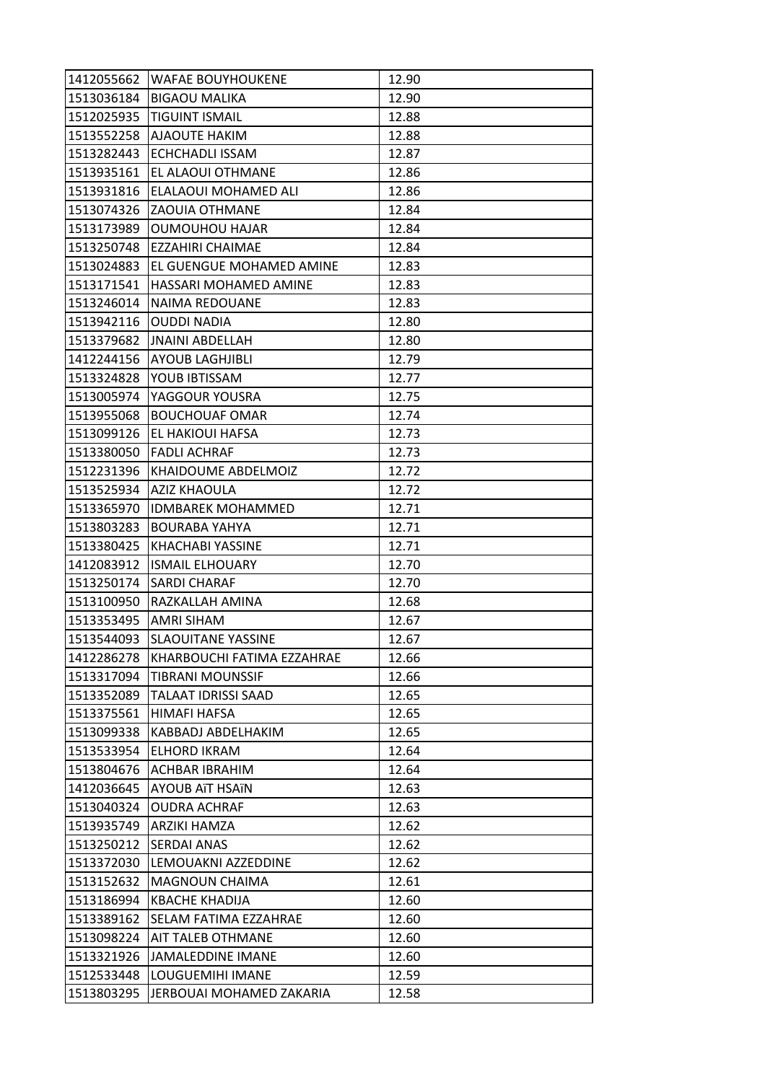| 1412055662 | <b>WAFAE BOUYHOUKENE</b>        | 12.90 |
|------------|---------------------------------|-------|
| 1513036184 | <b>BIGAOU MALIKA</b>            | 12.90 |
| 1512025935 | <b>TIGUINT ISMAIL</b>           | 12.88 |
| 1513552258 | <b>AJAOUTE HAKIM</b>            | 12.88 |
| 1513282443 | <b>ECHCHADLI ISSAM</b>          | 12.87 |
| 1513935161 | EL ALAOUI OTHMANE               | 12.86 |
| 1513931816 | <b>ELALAOUI MOHAMED ALI</b>     | 12.86 |
| 1513074326 | <b>ZAOUIA OTHMANE</b>           | 12.84 |
| 1513173989 | OUMOUHOU HAJAR                  | 12.84 |
| 1513250748 | <b>IEZZAHIRI CHAIMAE</b>        | 12.84 |
| 1513024883 | <b>EL GUENGUE MOHAMED AMINE</b> | 12.83 |
| 1513171541 | <b>HASSARI MOHAMED AMINE</b>    | 12.83 |
| 1513246014 | INAIMA REDOUANE                 | 12.83 |
| 1513942116 | <b>OUDDI NADIA</b>              | 12.80 |
| 1513379682 | <b>JNAINI ABDELLAH</b>          | 12.80 |
| 1412244156 | <b>AYOUB LAGHJIBLI</b>          | 12.79 |
| 1513324828 | YOUB IBTISSAM                   | 12.77 |
| 1513005974 | <b>YAGGOUR YOUSRA</b>           | 12.75 |
| 1513955068 | <b>BOUCHOUAF OMAR</b>           | 12.74 |
| 1513099126 | <b>EL HAKIOUI HAFSA</b>         | 12.73 |
| 1513380050 | <b>FADLI ACHRAF</b>             | 12.73 |
| 1512231396 | KHAIDOUME ABDELMOIZ             | 12.72 |
| 1513525934 | <b>AZIZ KHAOULA</b>             | 12.72 |
| 1513365970 | <b>IDMBAREK MOHAMMED</b>        | 12.71 |
| 1513803283 | <b>BOURABA YAHYA</b>            | 12.71 |
| 1513380425 | <b>KHACHABI YASSINE</b>         | 12.71 |
| 1412083912 | <b>ISMAIL ELHOUARY</b>          | 12.70 |
| 1513250174 | <b>SARDI CHARAF</b>             | 12.70 |
| 1513100950 | RAZKALLAH AMINA                 | 12.68 |
| 1513353495 | <b>AMRI SIHAM</b>               | 12.67 |
| 1513544093 | <b>SLAOUITANE YASSINE</b>       | 12.67 |
| 1412286278 | KHARBOUCHI FATIMA EZZAHRAE      | 12.66 |
| 1513317094 | <b>TIBRANI MOUNSSIF</b>         | 12.66 |
| 1513352089 | TALAAT IDRISSI SAAD             | 12.65 |
| 1513375561 | <b>HIMAFI HAFSA</b>             | 12.65 |
| 1513099338 | KABBADJ ABDELHAKIM              | 12.65 |
| 1513533954 | <b>ELHORD IKRAM</b>             | 12.64 |
| 1513804676 | ACHBAR IBRAHIM                  | 12.64 |
| 1412036645 | <b>AYOUB ATT HSATN</b>          | 12.63 |
| 1513040324 | <b>OUDRA ACHRAF</b>             | 12.63 |
| 1513935749 | ARZIKI HAMZA                    | 12.62 |
| 1513250212 | <b>SERDAI ANAS</b>              | 12.62 |
| 1513372030 | LEMOUAKNI AZZEDDINE             | 12.62 |
| 1513152632 | <b>MAGNOUN CHAIMA</b>           | 12.61 |
| 1513186994 | <b>KBACHE KHADIJA</b>           | 12.60 |
| 1513389162 | SELAM FATIMA EZZAHRAE           | 12.60 |
| 1513098224 | <b>AIT TALEB OTHMANE</b>        | 12.60 |
| 1513321926 | JAMALEDDINE IMANE               | 12.60 |
| 1512533448 | LOUGUEMIHI IMANE                | 12.59 |
| 1513803295 | JERBOUAI MOHAMED ZAKARIA        | 12.58 |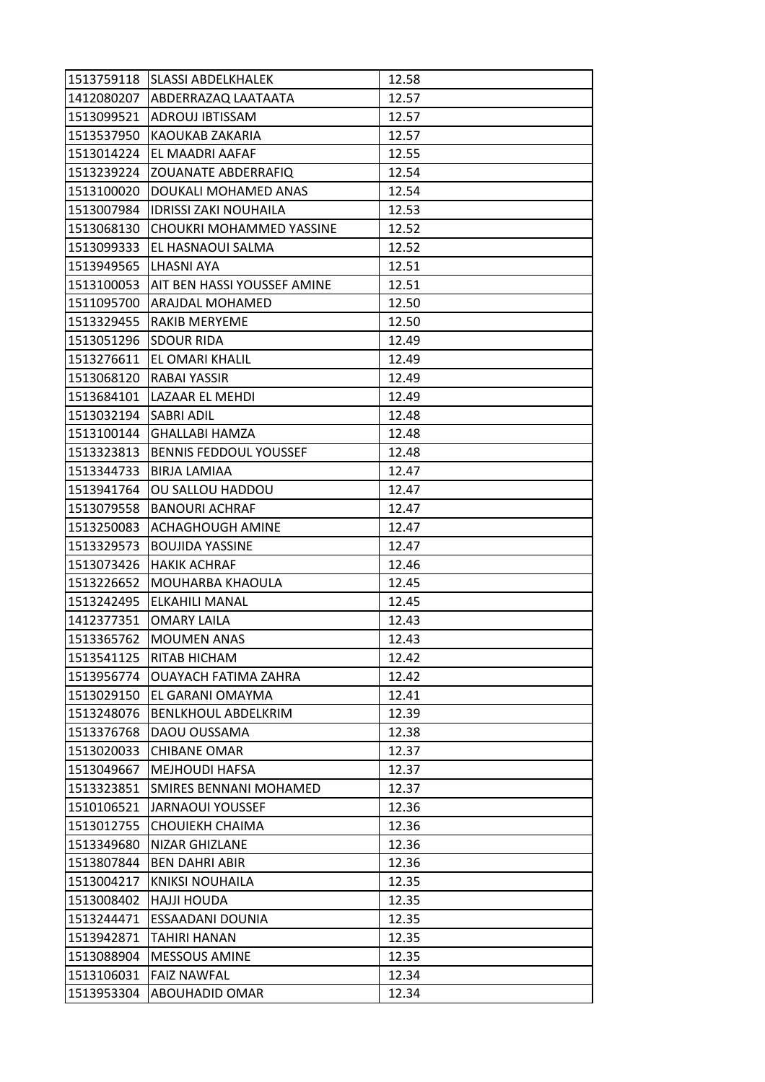|            | 1513759118 SLASSI ABDELKHALEK      | 12.58 |
|------------|------------------------------------|-------|
|            | 1412080207 ABDERRAZAQ LAATAATA     | 12.57 |
| 1513099521 | <b>ADROUJ IBTISSAM</b>             | 12.57 |
| 1513537950 | <b>KAOUKAB ZAKARIA</b>             | 12.57 |
| 1513014224 | <b>EL MAADRI AAFAF</b>             | 12.55 |
| 1513239224 | <b>ZOUANATE ABDERRAFIQ</b>         | 12.54 |
| 1513100020 | DOUKALI MOHAMED ANAS               | 12.54 |
| 1513007984 | <b>IDRISSI ZAKI NOUHAILA</b>       | 12.53 |
| 1513068130 | <b>CHOUKRI MOHAMMED YASSINE</b>    | 12.52 |
| 1513099333 | IEL HASNAOUI SALMA                 | 12.52 |
| 1513949565 | LHASNI AYA                         | 12.51 |
| 1513100053 | <b>AIT BEN HASSI YOUSSEF AMINE</b> | 12.51 |
| 1511095700 | IARAJDAL MOHAMED                   | 12.50 |
| 1513329455 | <b>RAKIB MERYEME</b>               | 12.50 |
| 1513051296 | <b>SDOUR RIDA</b>                  | 12.49 |
| 1513276611 | <b>EL OMARI KHALIL</b>             | 12.49 |
| 1513068120 | <b>RABAI YASSIR</b>                | 12.49 |
| 1513684101 | LAZAAR EL MEHDI                    | 12.49 |
| 1513032194 | <b>SABRI ADIL</b>                  | 12.48 |
|            | 1513100144  GHALLABI HAMZA         | 12.48 |
| 1513323813 | <b>BENNIS FEDDOUL YOUSSEF</b>      | 12.48 |
| 1513344733 | <b>BIRJA LAMIAA</b>                | 12.47 |
| 1513941764 | <b>OU SALLOU HADDOU</b>            | 12.47 |
| 1513079558 | <b>BANOURI ACHRAF</b>              | 12.47 |
| 1513250083 | <b>ACHAGHOUGH AMINE</b>            | 12.47 |
| 1513329573 | <b>BOUJIDA YASSINE</b>             | 12.47 |
| 1513073426 | <b>HAKIK ACHRAF</b>                | 12.46 |
| 1513226652 | MOUHARBA KHAOULA                   | 12.45 |
| 1513242495 | <b>IELKAHILI MANAL</b>             | 12.45 |
| 1412377351 | <b>OMARY LAILA</b>                 | 12.43 |
| 1513365762 | <b>MOUMEN ANAS</b>                 | 12.43 |
| 1513541125 | <b>RITAB HICHAM</b>                | 12.42 |
| 1513956774 | <b>OUAYACH FATIMA ZAHRA</b>        | 12.42 |
| 1513029150 | EL GARANI OMAYMA                   | 12.41 |
| 1513248076 | <b>BENLKHOUL ABDELKRIM</b>         | 12.39 |
| 1513376768 | DAOU OUSSAMA                       | 12.38 |
| 1513020033 | <b>CHIBANE OMAR</b>                | 12.37 |
| 1513049667 | <b>MEJHOUDI HAFSA</b>              | 12.37 |
| 1513323851 | SMIRES BENNANI MOHAMED             | 12.37 |
| 1510106521 | JARNAOUI YOUSSEF                   | 12.36 |
| 1513012755 | <b>CHOUIEKH CHAIMA</b>             | 12.36 |
| 1513349680 | <b>NIZAR GHIZLANE</b>              | 12.36 |
| 1513807844 | <b>BEN DAHRI ABIR</b>              | 12.36 |
| 1513004217 | <b>KNIKSI NOUHAILA</b>             | 12.35 |
| 1513008402 | <b>HAJJI HOUDA</b>                 | 12.35 |
| 1513244471 | <b>ESSAADANI DOUNIA</b>            | 12.35 |
| 1513942871 | <b>TAHIRI HANAN</b>                | 12.35 |
| 1513088904 | <b>MESSOUS AMINE</b>               | 12.35 |
| 1513106031 | <b>FAIZ NAWFAL</b>                 | 12.34 |
| 1513953304 | <b>ABOUHADID OMAR</b>              | 12.34 |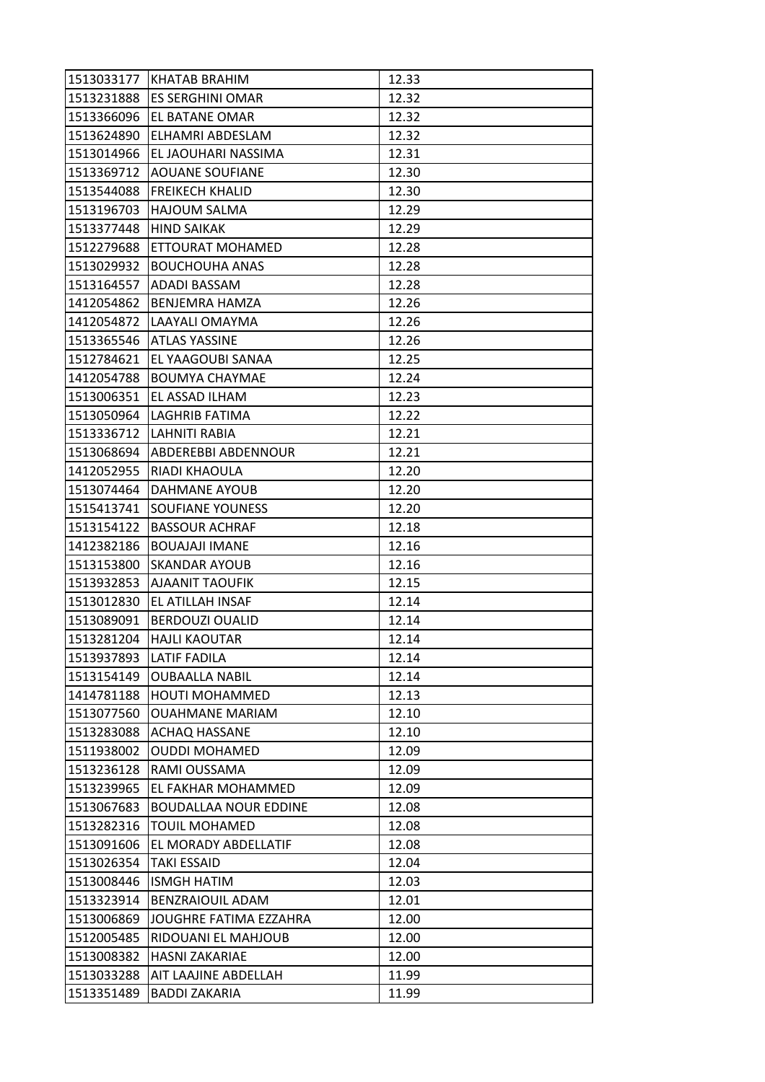|            | 1513033177 KHATAB BRAHIM       | 12.33 |
|------------|--------------------------------|-------|
| 1513231888 | <b>ES SERGHINI OMAR</b>        | 12.32 |
| 1513366096 | <b>IEL BATANE OMAR</b>         | 12.32 |
| 1513624890 | ELHAMRI ABDESLAM               | 12.32 |
| 1513014966 | IEL JAOUHARI NASSIMA           | 12.31 |
| 1513369712 | <b>JAOUANE SOUFIANE</b>        | 12.30 |
| 1513544088 | <b>FREIKECH KHALID</b>         | 12.30 |
| 1513196703 | <b>HAJOUM SALMA</b>            | 12.29 |
| 1513377448 | <b>HIND SAIKAK</b>             | 12.29 |
| 1512279688 | <b>ETTOURAT MOHAMED</b>        | 12.28 |
| 1513029932 | <b>BOUCHOUHA ANAS</b>          | 12.28 |
| 1513164557 | <b>ADADI BASSAM</b>            | 12.28 |
| 1412054862 | <b>BENJEMRA HAMZA</b>          | 12.26 |
| 1412054872 | LAAYALI OMAYMA                 | 12.26 |
| 1513365546 | <b>ATLAS YASSINE</b>           | 12.26 |
| 1512784621 | <b>EL YAAGOUBI SANAA</b>       | 12.25 |
| 1412054788 | <b>BOUMYA CHAYMAE</b>          | 12.24 |
| 1513006351 | EL ASSAD ILHAM                 | 12.23 |
| 1513050964 | LAGHRIB FATIMA                 | 12.22 |
|            | 1513336712  LAHNITI RABIA      | 12.21 |
|            | 1513068694 ABDEREBBI ABDENNOUR | 12.21 |
| 1412052955 | <b>RIADI KHAOULA</b>           | 12.20 |
| 1513074464 | <b>DAHMANE AYOUB</b>           | 12.20 |
| 1515413741 | <b>SOUFIANE YOUNESS</b>        | 12.20 |
| 1513154122 | <b>BASSOUR ACHRAF</b>          | 12.18 |
| 1412382186 | <b>BOUAJAJI IMANE</b>          | 12.16 |
| 1513153800 | <b>SKANDAR AYOUB</b>           | 12.16 |
| 1513932853 | <b>AJAANIT TAOUFIK</b>         | 12.15 |
| 1513012830 | <b>EL ATILLAH INSAF</b>        | 12.14 |
| 1513089091 | <b>BERDOUZI OUALID</b>         | 12.14 |
| 1513281204 | <b>HAJLI KAOUTAR</b>           | 12.14 |
| 1513937893 | <b>LATIF FADILA</b>            | 12.14 |
| 1513154149 | <b>OUBAALLA NABIL</b>          | 12.14 |
| 1414781188 | <b>HOUTI MOHAMMED</b>          | 12.13 |
| 1513077560 | <b>OUAHMANE MARIAM</b>         | 12.10 |
| 1513283088 | <b>ACHAQ HASSANE</b>           | 12.10 |
| 1511938002 | <b>OUDDI MOHAMED</b>           | 12.09 |
| 1513236128 | RAMI OUSSAMA                   | 12.09 |
| 1513239965 | EL FAKHAR MOHAMMED             | 12.09 |
| 1513067683 | <b>BOUDALLAA NOUR EDDINE</b>   | 12.08 |
| 1513282316 | <b>TOUIL MOHAMED</b>           | 12.08 |
| 1513091606 | <b>EL MORADY ABDELLATIF</b>    | 12.08 |
| 1513026354 | TAKI ESSAID                    | 12.04 |
| 1513008446 | <b>ISMGH HATIM</b>             | 12.03 |
| 1513323914 | <b>BENZRAIOUIL ADAM</b>        | 12.01 |
| 1513006869 | JOUGHRE FATIMA EZZAHRA         | 12.00 |
| 1512005485 | <b>RIDOUANI EL MAHJOUB</b>     | 12.00 |
| 1513008382 | <b>HASNI ZAKARIAE</b>          | 12.00 |
| 1513033288 | AIT LAAJINE ABDELLAH           | 11.99 |
| 1513351489 | <b>BADDI ZAKARIA</b>           | 11.99 |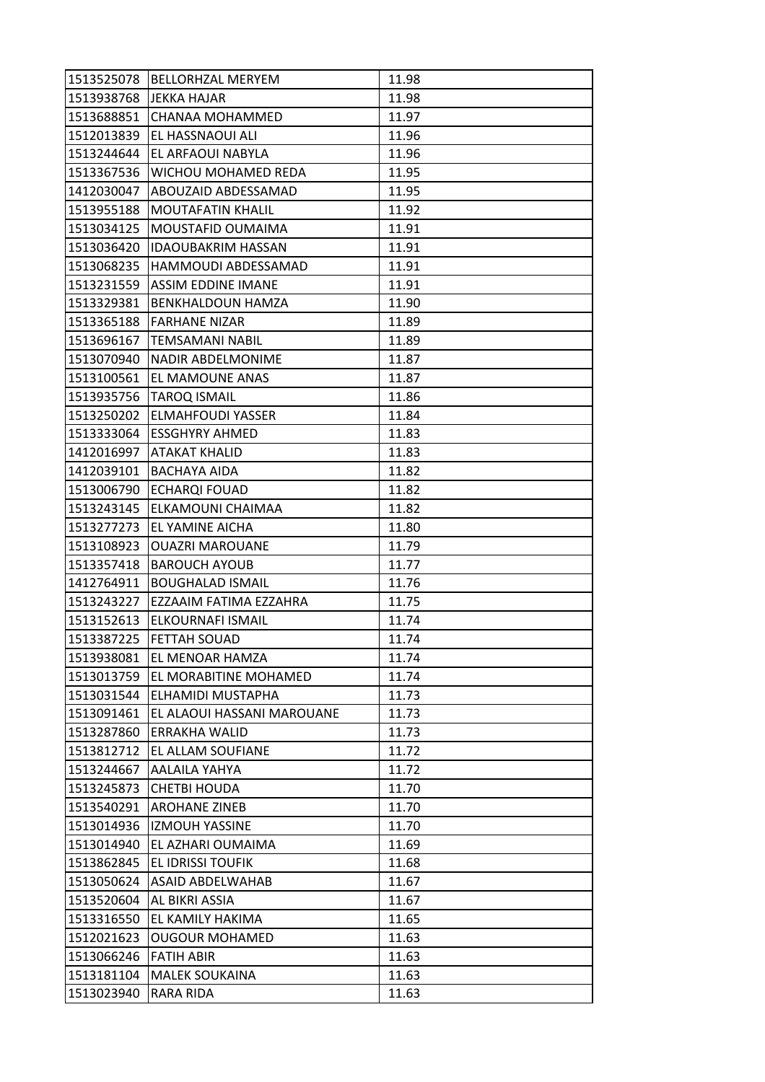|            | 1513525078   BELLORHZAL MERYEM | 11.98 |
|------------|--------------------------------|-------|
| 1513938768 | <b>JEKKA HAJAR</b>             | 11.98 |
| 1513688851 | <b>CHANAA MOHAMMED</b>         | 11.97 |
| 1512013839 | EL HASSNAOUI ALI               | 11.96 |
| 1513244644 | EL ARFAOUI NABYLA              | 11.96 |
| 1513367536 | <b>WICHOU MOHAMED REDA</b>     | 11.95 |
| 1412030047 | ABOUZAID ABDESSAMAD            | 11.95 |
| 1513955188 | IMOUTAFATIN KHALIL             | 11.92 |
| 1513034125 | MOUSTAFID OUMAIMA              | 11.91 |
| 1513036420 | <b>IDAOUBAKRIM HASSAN</b>      | 11.91 |
| 1513068235 | HAMMOUDI ABDESSAMAD            | 11.91 |
| 1513231559 | <b>ASSIM EDDINE IMANE</b>      | 11.91 |
| 1513329381 | <b>BENKHALDOUN HAMZA</b>       | 11.90 |
| 1513365188 | <b>FARHANE NIZAR</b>           | 11.89 |
| 1513696167 | ITEMSAMANI NABIL               | 11.89 |
| 1513070940 | NADIR ABDELMONIME              | 11.87 |
| 1513100561 | <b>EL MAMOUNE ANAS</b>         | 11.87 |
| 1513935756 | <b>TAROQ ISMAIL</b>            | 11.86 |
| 1513250202 | <b>ELMAHFOUDI YASSER</b>       | 11.84 |
| 1513333064 | <b>IESSGHYRY AHMED</b>         | 11.83 |
| 1412016997 | <b>ATAKAT KHALID</b>           | 11.83 |
| 1412039101 | BACHAYA AIDA                   | 11.82 |
| 1513006790 | <b>ECHARQI FOUAD</b>           | 11.82 |
| 1513243145 | ELKAMOUNI CHAIMAA              | 11.82 |
| 1513277273 | <b>JEL YAMINE AICHA</b>        | 11.80 |
| 1513108923 | <b>OUAZRI MAROUANE</b>         | 11.79 |
| 1513357418 | <b>BAROUCH AYOUB</b>           | 11.77 |
| 1412764911 | <b>BOUGHALAD ISMAIL</b>        | 11.76 |
| 1513243227 | EZZAAIM FATIMA EZZAHRA         | 11.75 |
| 1513152613 | <b>ELKOURNAFI ISMAIL</b>       | 11.74 |
| 1513387225 | <b>FETTAH SOUAD</b>            | 11.74 |
| 1513938081 | <b>EL MENOAR HAMZA</b>         | 11.74 |
| 1513013759 | <b>EL MORABITINE MOHAMED</b>   | 11.74 |
| 1513031544 | ELHAMIDI MUSTAPHA              | 11.73 |
| 1513091461 | EL ALAOUI HASSANI MAROUANE     | 11.73 |
| 1513287860 | IERRAKHA WALID                 | 11.73 |
| 1513812712 | EL ALLAM SOUFIANE              | 11.72 |
| 1513244667 | <b>AALAILA YAHYA</b>           | 11.72 |
| 1513245873 | <b>CHETBI HOUDA</b>            | 11.70 |
| 1513540291 | <b>AROHANE ZINEB</b>           | 11.70 |
| 1513014936 | <b>IZMOUH YASSINE</b>          | 11.70 |
| 1513014940 | EL AZHARI OUMAIMA              | 11.69 |
| 1513862845 | <b>EL IDRISSI TOUFIK</b>       | 11.68 |
| 1513050624 | <b>ASAID ABDELWAHAB</b>        | 11.67 |
| 1513520604 | <b>AL BIKRI ASSIA</b>          | 11.67 |
| 1513316550 | EL KAMILY HAKIMA               | 11.65 |
| 1512021623 | <b>OUGOUR MOHAMED</b>          | 11.63 |
| 1513066246 | <b>FATIH ABIR</b>              | 11.63 |
| 1513181104 | <b>MALEK SOUKAINA</b>          | 11.63 |
| 1513023940 | RARA RIDA                      | 11.63 |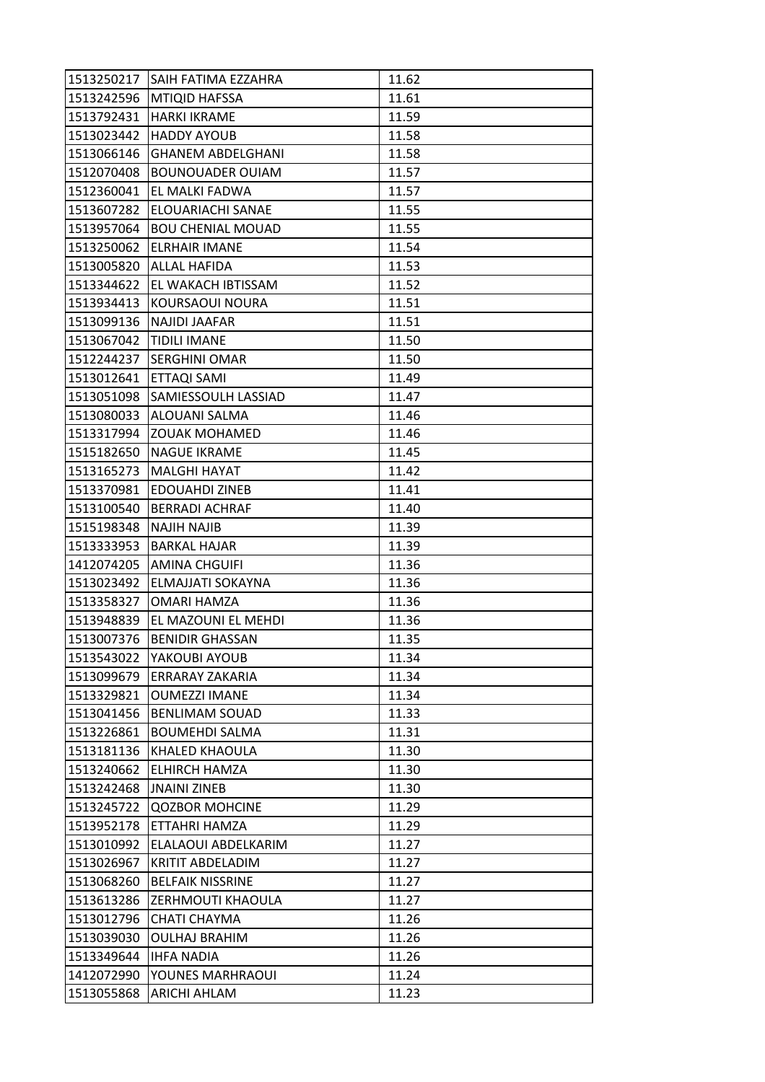| 1513250217 | <b>SAIH FATIMA EZZAHRA</b> | 11.62 |
|------------|----------------------------|-------|
| 1513242596 | <b>MTIQID HAFSSA</b>       | 11.61 |
| 1513792431 | <b>HARKI IKRAME</b>        | 11.59 |
| 1513023442 | <b>HADDY AYOUB</b>         | 11.58 |
| 1513066146 | <b>GHANEM ABDELGHANI</b>   | 11.58 |
| 1512070408 | <b>BOUNOUADER OUIAM</b>    | 11.57 |
| 1512360041 | <b>EL MALKI FADWA</b>      | 11.57 |
| 1513607282 | ELOUARIACHI SANAE          | 11.55 |
| 1513957064 | <b>BOU CHENIAL MOUAD</b>   | 11.55 |
| 1513250062 | <b>IELRHAIR IMANE</b>      | 11.54 |
| 1513005820 | <b>ALLAL HAFIDA</b>        | 11.53 |
| 1513344622 | <b>EL WAKACH IBTISSAM</b>  | 11.52 |
| 1513934413 | KOURSAOUI NOURA            | 11.51 |
| 1513099136 | NAJIDI JAAFAR              | 11.51 |
| 1513067042 | <b>TIDILI IMANE</b>        | 11.50 |
| 1512244237 | <b>SERGHINI OMAR</b>       | 11.50 |
| 1513012641 | <b>ETTAQI SAMI</b>         | 11.49 |
| 1513051098 | <b>SAMIESSOULH LASSIAD</b> | 11.47 |
| 1513080033 | <b>ALOUANI SALMA</b>       | 11.46 |
| 1513317994 | <b>ZOUAK MOHAMED</b>       | 11.46 |
| 1515182650 | <b>NAGUE IKRAME</b>        | 11.45 |
| 1513165273 | <b>MALGHI HAYAT</b>        | 11.42 |
| 1513370981 | <b>EDOUAHDI ZINEB</b>      | 11.41 |
| 1513100540 | <b>BERRADI ACHRAF</b>      | 11.40 |
| 1515198348 | NAJIH NAJIB                | 11.39 |
| 1513333953 | <b>BARKAL HAJAR</b>        | 11.39 |
| 1412074205 | <b>AMINA CHGUIFI</b>       | 11.36 |
| 1513023492 | <b>ELMAJJATI SOKAYNA</b>   | 11.36 |
| 1513358327 | <b>OMARI HAMZA</b>         | 11.36 |
| 1513948839 | EL MAZOUNI EL MEHDI        | 11.36 |
| 1513007376 | <b>BENIDIR GHASSAN</b>     | 11.35 |
| 1513543022 | YAKOUBI AYOUB              | 11.34 |
| 1513099679 | <b>ERRARAY ZAKARIA</b>     | 11.34 |
| 1513329821 | <b>OUMEZZI IMANE</b>       | 11.34 |
| 1513041456 | <b>BENLIMAM SOUAD</b>      | 11.33 |
| 1513226861 | <b>BOUMEHDI SALMA</b>      | 11.31 |
| 1513181136 | <b>KHALED KHAOULA</b>      | 11.30 |
| 1513240662 | <b>ELHIRCH HAMZA</b>       | 11.30 |
| 1513242468 | <b>JNAINI ZINEB</b>        | 11.30 |
| 1513245722 | <b>QOZBOR MOHCINE</b>      | 11.29 |
| 1513952178 | ETTAHRI HAMZA              | 11.29 |
| 1513010992 | ELALAOUI ABDELKARIM        | 11.27 |
| 1513026967 | <b>KRITIT ABDELADIM</b>    | 11.27 |
| 1513068260 | <b>BELFAIK NISSRINE</b>    | 11.27 |
| 1513613286 | <b>ZERHMOUTI KHAOULA</b>   | 11.27 |
| 1513012796 | <b>CHATI CHAYMA</b>        | 11.26 |
| 1513039030 | <b>OULHAJ BRAHIM</b>       | 11.26 |
| 1513349644 | <b>IHFA NADIA</b>          | 11.26 |
| 1412072990 | YOUNES MARHRAOUI           | 11.24 |
| 1513055868 | <b>ARICHI AHLAM</b>        | 11.23 |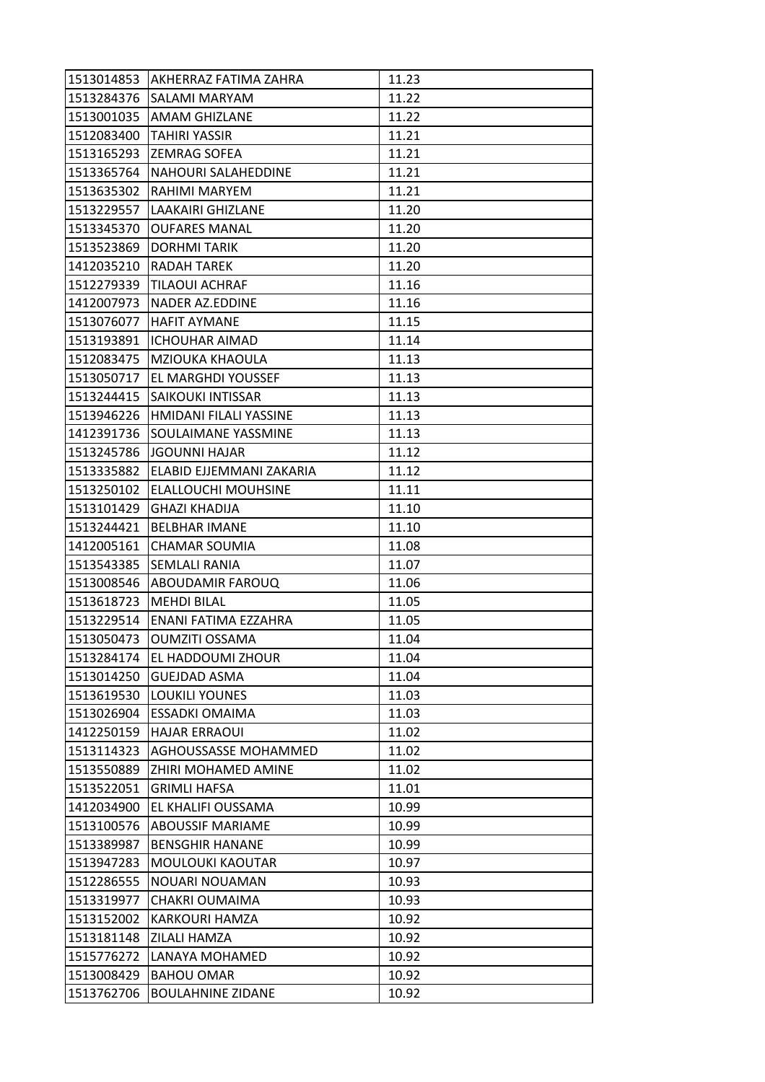|            | 1513014853 AKHERRAZ FATIMA ZAHRA | 11.23 |
|------------|----------------------------------|-------|
| 1513284376 | <b>SALAMI MARYAM</b>             | 11.22 |
| 1513001035 | <b>JAMAM GHIZLANE</b>            | 11.22 |
| 1512083400 | <b>TAHIRI YASSIR</b>             | 11.21 |
| 1513165293 | <b>ZEMRAG SOFEA</b>              | 11.21 |
| 1513365764 | <b>NAHOURI SALAHEDDINE</b>       | 11.21 |
| 1513635302 | <b>RAHIMI MARYEM</b>             | 11.21 |
| 1513229557 | LLAAKAIRI GHIZLANE               | 11.20 |
| 1513345370 | <b>OUFARES MANAL</b>             | 11.20 |
| 1513523869 | <b>DORHMITARIK</b>               | 11.20 |
| 1412035210 | <b>RADAH TAREK</b>               | 11.20 |
| 1512279339 | <b>TILAOUI ACHRAF</b>            | 11.16 |
| 1412007973 | NADER AZ.EDDINE                  | 11.16 |
| 1513076077 | <b>HAFIT AYMANE</b>              | 11.15 |
| 1513193891 | <b>ICHOUHAR AIMAD</b>            | 11.14 |
| 1512083475 | MZIOUKA KHAOULA                  | 11.13 |
| 1513050717 | <b>EL MARGHDI YOUSSEF</b>        | 11.13 |
| 1513244415 | <b>SAIKOUKI INTISSAR</b>         | 11.13 |
| 1513946226 | HMIDANI FILALI YASSINE           | 11.13 |
| 1412391736 | <b>SOULAIMANE YASSMINE</b>       | 11.13 |
| 1513245786 | JGOUNNI HAJAR                    | 11.12 |
| 1513335882 | <b>ELABID EJJEMMANI ZAKARIA</b>  | 11.12 |
| 1513250102 | <b>ELALLOUCHI MOUHSINE</b>       | 11.11 |
| 1513101429 | <b>GHAZI KHADIJA</b>             | 11.10 |
| 1513244421 | <b>BELBHAR IMANE</b>             | 11.10 |
| 1412005161 | <b>CHAMAR SOUMIA</b>             | 11.08 |
| 1513543385 | <b>SEMLALI RANIA</b>             | 11.07 |
| 1513008546 | <b>ABOUDAMIR FAROUQ</b>          | 11.06 |
| 1513618723 | <b>MEHDI BILAL</b>               | 11.05 |
| 1513229514 | <b>ENANI FATIMA EZZAHRA</b>      | 11.05 |
| 1513050473 | <b>OUMZITI OSSAMA</b>            | 11.04 |
| 1513284174 | <b>EL HADDOUMI ZHOUR</b>         | 11.04 |
| 1513014250 | <b>GUEJDAD ASMA</b>              | 11.04 |
| 1513619530 | <b>LOUKILI YOUNES</b>            | 11.03 |
| 1513026904 | <b>ESSADKI OMAIMA</b>            | 11.03 |
| 1412250159 | <b>HAJAR ERRAOUI</b>             | 11.02 |
| 1513114323 | <b>AGHOUSSASSE MOHAMMED</b>      | 11.02 |
| 1513550889 | <b>ZHIRI MOHAMED AMINE</b>       | 11.02 |
| 1513522051 | <b>GRIMLI HAFSA</b>              | 11.01 |
| 1412034900 | EL KHALIFI OUSSAMA               | 10.99 |
| 1513100576 | <b>ABOUSSIF MARIAME</b>          | 10.99 |
| 1513389987 | <b>BENSGHIR HANANE</b>           | 10.99 |
| 1513947283 | MOULOUKI KAOUTAR                 | 10.97 |
| 1512286555 | NOUARI NOUAMAN                   | 10.93 |
| 1513319977 | CHAKRI OUMAIMA                   | 10.93 |
| 1513152002 | KARKOURI HAMZA                   | 10.92 |
| 1513181148 | <b>ZILALI HAMZA</b>              | 10.92 |
| 1515776272 | LANAYA MOHAMED                   | 10.92 |
| 1513008429 | <b>BAHOU OMAR</b>                | 10.92 |
| 1513762706 | <b>BOULAHNINE ZIDANE</b>         | 10.92 |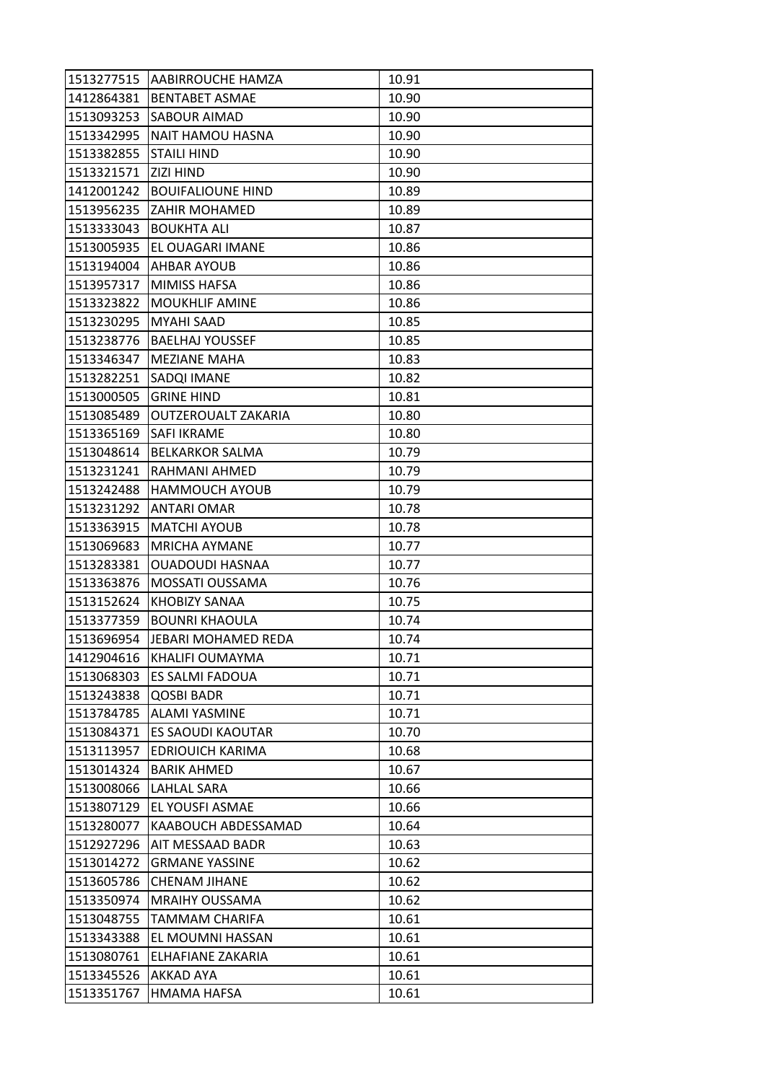|            | 1513277515   AABIRROUCHE HAMZA | 10.91 |
|------------|--------------------------------|-------|
| 1412864381 | <b>BENTABET ASMAE</b>          | 10.90 |
| 1513093253 | <b>SABOUR AIMAD</b>            | 10.90 |
| 1513342995 | NAIT HAMOU HASNA               | 10.90 |
| 1513382855 | <b>STAILI HIND</b>             | 10.90 |
| 1513321571 | <b>ZIZI HIND</b>               | 10.90 |
| 1412001242 | <b>BOUIFALIOUNE HIND</b>       | 10.89 |
| 1513956235 | IZAHIR MOHAMED                 | 10.89 |
| 1513333043 | <b>BOUKHTA ALI</b>             | 10.87 |
| 1513005935 | <b>EL OUAGARI IMANE</b>        | 10.86 |
| 1513194004 | <b>AHBAR AYOUB</b>             | 10.86 |
| 1513957317 | <b>MIMISS HAFSA</b>            | 10.86 |
| 1513323822 | <b>MOUKHLIF AMINE</b>          | 10.86 |
| 1513230295 | <b>MYAHI SAAD</b>              | 10.85 |
| 1513238776 | <b>BAELHAJ YOUSSEF</b>         | 10.85 |
| 1513346347 | <b>MEZIANE MAHA</b>            | 10.83 |
| 1513282251 | <b>SADQI IMANE</b>             | 10.82 |
| 1513000505 | <b>GRINE HIND</b>              | 10.81 |
| 1513085489 | <b>OUTZEROUALT ZAKARIA</b>     | 10.80 |
| 1513365169 | <b>SAFI IKRAME</b>             | 10.80 |
| 1513048614 | <b>BELKARKOR SALMA</b>         | 10.79 |
| 1513231241 | RAHMANI AHMED                  | 10.79 |
| 1513242488 | <b>HAMMOUCH AYOUB</b>          | 10.79 |
| 1513231292 | <b>ANTARI OMAR</b>             | 10.78 |
| 1513363915 | <b>MATCHI AYOUB</b>            | 10.78 |
| 1513069683 | <b>MRICHA AYMANE</b>           | 10.77 |
| 1513283381 | <b>OUADOUDI HASNAA</b>         | 10.77 |
| 1513363876 | MOSSATI OUSSAMA                | 10.76 |
| 1513152624 | <b>KHOBIZY SANAA</b>           | 10.75 |
| 1513377359 | <b>BOUNRI KHAOULA</b>          | 10.74 |
| 1513696954 | JEBARI MOHAMED REDA            | 10.74 |
| 1412904616 | <b>KHALIFI OUMAYMA</b>         | 10.71 |
| 1513068303 | <b>ES SALMI FADOUA</b>         | 10.71 |
| 1513243838 | QOSBI BADR                     | 10.71 |
| 1513784785 | <b>ALAMI YASMINE</b>           | 10.71 |
| 1513084371 | <b>ES SAOUDI KAOUTAR</b>       | 10.70 |
| 1513113957 | <b>EDRIOUICH KARIMA</b>        | 10.68 |
| 1513014324 | <b>BARIK AHMED</b>             | 10.67 |
| 1513008066 | LAHLAL SARA                    | 10.66 |
| 1513807129 | <b>EL YOUSFI ASMAE</b>         | 10.66 |
| 1513280077 | KAABOUCH ABDESSAMAD            | 10.64 |
| 1512927296 | AIT MESSAAD BADR               | 10.63 |
| 1513014272 | <b>GRMANE YASSINE</b>          | 10.62 |
| 1513605786 | <b>CHENAM JIHANE</b>           | 10.62 |
| 1513350974 | <b>MRAIHY OUSSAMA</b>          | 10.62 |
| 1513048755 | TAMMAM CHARIFA                 | 10.61 |
| 1513343388 | EL MOUMNI HASSAN               | 10.61 |
| 1513080761 | ELHAFIANE ZAKARIA              | 10.61 |
| 1513345526 | <b>AKKAD AYA</b>               | 10.61 |
| 1513351767 | HMAMA HAFSA                    | 10.61 |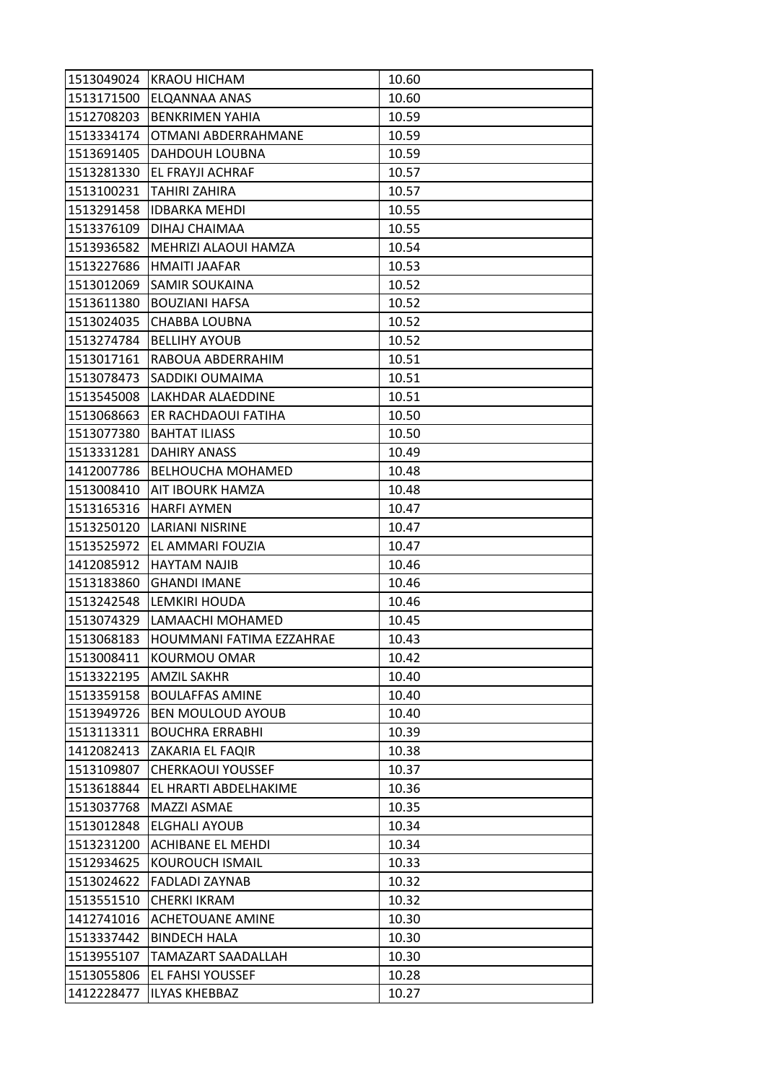| 1513049024 | <b>KRAOU HICHAM</b>      | 10.60 |
|------------|--------------------------|-------|
| 1513171500 | <b>ELQANNAA ANAS</b>     | 10.60 |
| 1512708203 | <b>BENKRIMEN YAHIA</b>   | 10.59 |
| 1513334174 | OTMANI ABDERRAHMANE      | 10.59 |
| 1513691405 | DAHDOUH LOUBNA           | 10.59 |
| 1513281330 | EL FRAYJI ACHRAF         | 10.57 |
| 1513100231 | <b>TAHIRI ZAHIRA</b>     | 10.57 |
| 1513291458 | <b>IDBARKA MEHDI</b>     | 10.55 |
| 1513376109 | DIHAJ CHAIMAA            | 10.55 |
| 1513936582 | MEHRIZI ALAOUI HAMZA     | 10.54 |
| 1513227686 | IHMAITI JAAFAR           | 10.53 |
| 1513012069 | <b>SAMIR SOUKAINA</b>    | 10.52 |
| 1513611380 | <b>BOUZIANI HAFSA</b>    | 10.52 |
| 1513024035 | <b>CHABBA LOUBNA</b>     | 10.52 |
| 1513274784 | <b>BELLIHY AYOUB</b>     | 10.52 |
| 1513017161 | RABOUA ABDERRAHIM        | 10.51 |
| 1513078473 | <b>SADDIKI OUMAIMA</b>   | 10.51 |
| 1513545008 | <b>LAKHDAR ALAEDDINE</b> | 10.51 |
| 1513068663 | ER RACHDAOUI FATIHA      | 10.50 |
| 1513077380 | <b>BAHTAT ILIASS</b>     | 10.50 |
| 1513331281 | <b>DAHIRY ANASS</b>      | 10.49 |
| 1412007786 | <b>BELHOUCHA MOHAMED</b> | 10.48 |
| 1513008410 | AIT IBOURK HAMZA         | 10.48 |
| 1513165316 | <b>HARFI AYMEN</b>       | 10.47 |
| 1513250120 | LARIANI NISRINE          | 10.47 |
| 1513525972 | <b>EL AMMARI FOUZIA</b>  | 10.47 |
| 1412085912 | <b>HAYTAM NAJIB</b>      | 10.46 |
| 1513183860 | <b>GHANDI IMANE</b>      | 10.46 |
| 1513242548 | LEMKIRI HOUDA            | 10.46 |
| 1513074329 | LAMAACHI MOHAMED         | 10.45 |
| 1513068183 | HOUMMANI FATIMA EZZAHRAE | 10.43 |
| 1513008411 | <b>KOURMOU OMAR</b>      | 10.42 |
| 1513322195 | <b>AMZIL SAKHR</b>       | 10.40 |
| 1513359158 | <b>BOULAFFAS AMINE</b>   | 10.40 |
| 1513949726 | <b>BEN MOULOUD AYOUB</b> | 10.40 |
| 1513113311 | <b>BOUCHRA ERRABHI</b>   | 10.39 |
| 1412082413 | ZAKARIA EL FAQIR         | 10.38 |
| 1513109807 | <b>CHERKAOUI YOUSSEF</b> | 10.37 |
| 1513618844 | EL HRARTI ABDELHAKIME    | 10.36 |
| 1513037768 | <b>MAZZI ASMAE</b>       | 10.35 |
| 1513012848 | ELGHALI AYOUB            | 10.34 |
| 1513231200 | <b>ACHIBANE EL MEHDI</b> | 10.34 |
| 1512934625 | <b>KOUROUCH ISMAIL</b>   | 10.33 |
| 1513024622 | <b>FADLADI ZAYNAB</b>    | 10.32 |
| 1513551510 | <b>CHERKI IKRAM</b>      | 10.32 |
| 1412741016 | <b>ACHETOUANE AMINE</b>  | 10.30 |
| 1513337442 | <b>BINDECH HALA</b>      | 10.30 |
| 1513955107 | TAMAZART SAADALLAH       | 10.30 |
| 1513055806 | <b>EL FAHSI YOUSSEF</b>  | 10.28 |
| 1412228477 | <b>ILYAS KHEBBAZ</b>     | 10.27 |